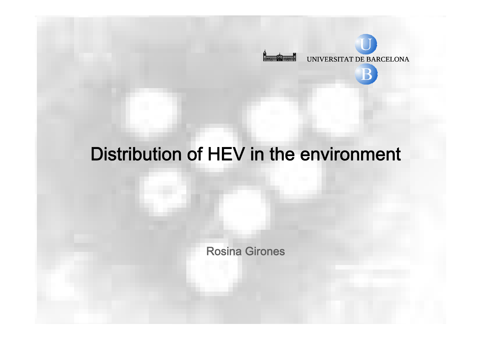

# Distribution of HEV in the environment

Rosina Girones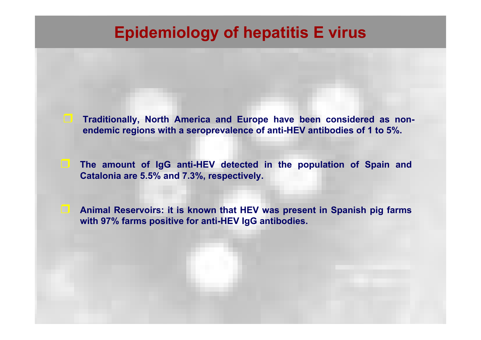# **Epidemiology of hepatitis E virus**

- **Traditionally, North America and Europe have been considered as nonendemic regions with a seroprevalence of anti-HEV antibodies of 1 to 5%.**
- **The amount of IgG anti-HEV detected in the population of Spain and Catalonia are 5.5% and 7.3%, respectively.**

 $\Box$ 

 $\Box$  **Animal Reservoirs: it is known that HEV was present in Spanish pig farms with 97% farms positive for anti-HEV IgG antibodies.**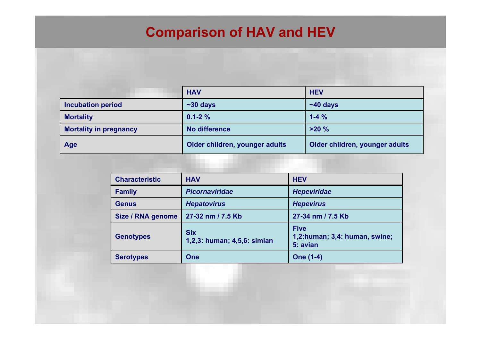## **Comparison of HAV and HEV**

|                               | <b>HAV</b>                     | <b>HEV</b>                     |
|-------------------------------|--------------------------------|--------------------------------|
| <b>Incubation period</b>      | $~50$ days                     | $~140$ days                    |
| <b>Mortality</b>              | $0.1 - 2%$                     | $1 - 4\%$                      |
| <b>Mortality in pregnancy</b> | No difference                  | >20%                           |
| Age                           | Older children, younger adults | Older children, younger adults |

| <b>Characteristic</b> | <b>HAV</b>                                | <b>HEV</b>                                               |
|-----------------------|-------------------------------------------|----------------------------------------------------------|
| <b>Family</b>         | <b>Picornaviridae</b>                     | <b>Hepeviridae</b>                                       |
| <b>Genus</b>          | <b>Hepatovirus</b>                        | <b>Hepevirus</b>                                         |
| Size / RNA genome     | 27-32 nm / 7.5 Kb                         | 27-34 nm / 7.5 Kb                                        |
| <b>Genotypes</b>      | <b>Six</b><br>1,2,3: human; 4,5,6: simian | <b>Five</b><br>1,2:human; 3,4: human, swine;<br>5: avian |
| <b>Serotypes</b>      | <b>One</b>                                | <b>One (1-4)</b>                                         |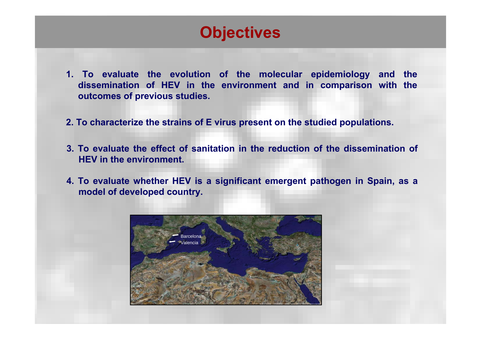# **Objectives**

- **1. To evaluate the evolution of the molecular epidemiology and the dissemination of HEV in the environment and in comparison with the outcomes of previous studies.**
- **2. To characterize the strains of E virus present on the studied populations.**
- **3. To evaluate the effect of sanitation in the reduction of the dissemination of HEV in the environment.**
- **4. To evaluate whether HEV is a significant emergent pathogen in Spain, as a model of developed country.**

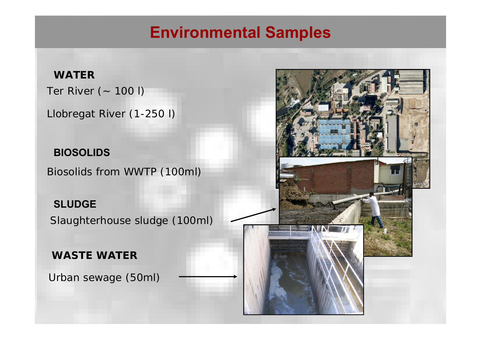# **Environmental Samples**

#### **WATER**

Ter River (~ 100 l)

Llobregat River (1-250 l)

**BIOSOLIDS**

Biosolids from WWTP (100ml)

**SLUDGE**

Slaughterhouse sludge (100ml)

**WASTE WATER**

Urban sewage (50ml)

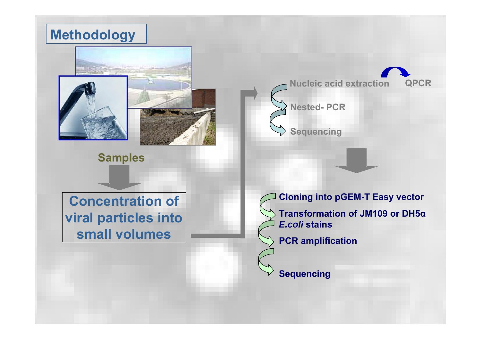### **Methodology**



**Samples**

**Nucleic acid extraction**





**Sequencing**

**Concentration of viral particles into small volumes**

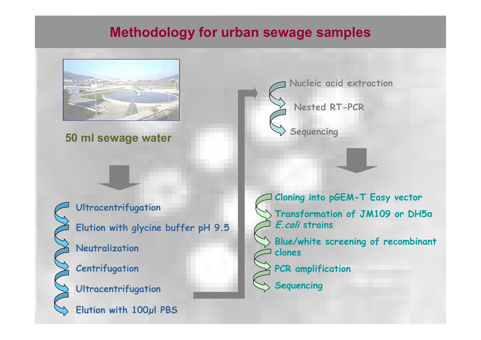### **Methodology for urban sewage samples**



#### **50 ml sewage water**



**pH 9.5 Elution with glycine buffer Ultracentrifugation Neutralization Centrifugation Ultracentrifugation Elution with 100µl PBS**

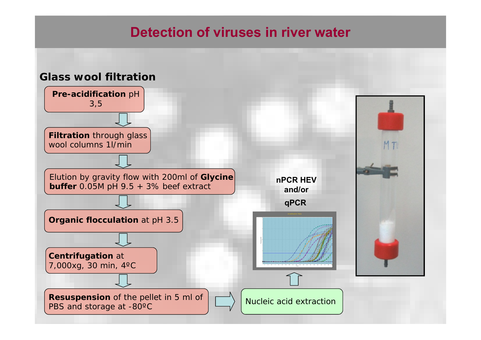### **Detection of viruses in river water**

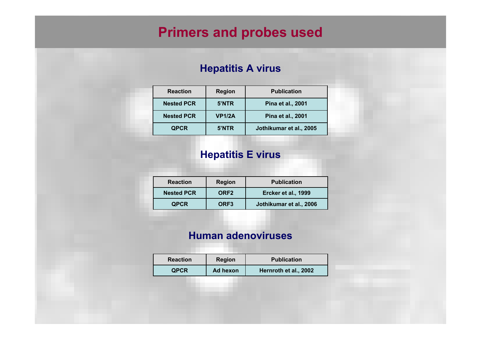### **Primers and probes used**

#### **Hepatitis A virus**

| <b>Reaction</b>   | <b>Region</b> | <b>Publication</b>       |
|-------------------|---------------|--------------------------|
| <b>Nested PCR</b> | 5'NTR         | <b>Pina et al., 2001</b> |
| <b>Nested PCR</b> | <b>VP1/2A</b> | Pina et al., 2001        |
| <b>QPCR</b>       | 5'NTR         | Jothikumar et al., 2005  |

#### **Hepatitis E virus**

| <b>Reaction</b>   | <b>Region</b>    | <b>Publication</b>      |
|-------------------|------------------|-------------------------|
| <b>Nested PCR</b> | ORF <sub>2</sub> | Ercker et al., 1999     |
| <b>QPCR</b>       | ORF <sub>3</sub> | Jothikumar et al., 2006 |

#### **Human adenoviruses**

| <b>Reaction</b> | <b>Region</b> | <b>Publication</b>    |  |
|-----------------|---------------|-----------------------|--|
| <b>QPCR</b>     | Ad hexon      | Hernroth et al., 2002 |  |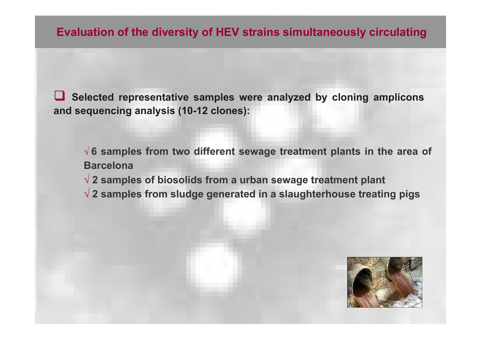**Evaluation of the diversity of HEV strains simultaneously circulating**

 $\Box$  **Selected representative samples were analyzed by cloning amplicons and sequencing analysis (10-12 clones):**

√ **6 samples from two different sewage treatment plants in the area of Barcelona**

√ **2 samples of biosolids from a urban sewage treatment plant**

√ **2 samples from sludge generated in a slaughterhouse treating pigs**

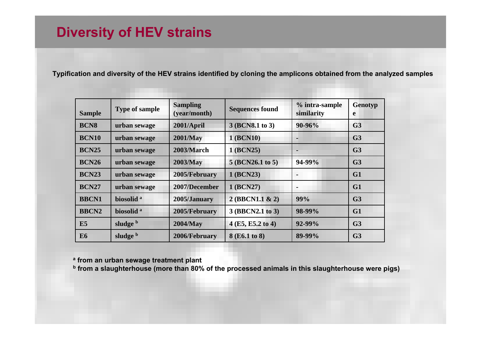### **Diversity of HEV strains**

**Typification and diversity of the HEV strains identified by cloning the amplicons obtained from the analyzed samples**

| <b>Sample</b> | <b>Type of sample</b> | <b>Sampling</b><br>(year/month) | <b>Sequences found</b> | % intra-sample<br>similarity | Genotyp<br>e   |
|---------------|-----------------------|---------------------------------|------------------------|------------------------------|----------------|
| <b>BCN8</b>   | urban sewage          | 2001/April                      | 3 (BCN8.1 to 3)        | 90-96%                       | G <sub>3</sub> |
| <b>BCN10</b>  | urban sewage          | <b>2001/May</b>                 | 1 (BCN10)              |                              | G <sub>3</sub> |
| <b>BCN25</b>  | urban sewage          | 2003/March                      | 1 (BCN25)              |                              | G <sub>3</sub> |
| <b>BCN26</b>  | urban sewage          | 2003/May                        | 5 (BCN26.1 to 5)       | 94-99%                       | G <sub>3</sub> |
| <b>BCN23</b>  | urban sewage          | 2005/February                   | 1 (BCN23)              |                              | G1             |
| <b>BCN27</b>  | urban sewage          | 2007/December                   | 1 (BCN27)              |                              | G1             |
| <b>BBCN1</b>  | biosolid <sup>a</sup> | 2005/January                    | 2 (BBCN1.1 & 2)        | 99%                          | G <sub>3</sub> |
| <b>BBCN2</b>  | biosolid <sup>a</sup> | 2005/February                   | 3 (BBCN2.1 to 3)       | 98-99%                       | G1             |
| E5            | sludge b              | 2004/May                        | 4 (E5, E5.2 to 4)      | 92-99%                       | G <sub>3</sub> |
| <b>E6</b>     | sludge b              | 2006/February                   | 8 (E6.1 to 8)          | 89-99%                       | G <sub>3</sub> |

**a from an urban sewage treatment plant**

**b from a slaughterhouse (more than 80% of the processed animals in this slaughterhouse were pigs)**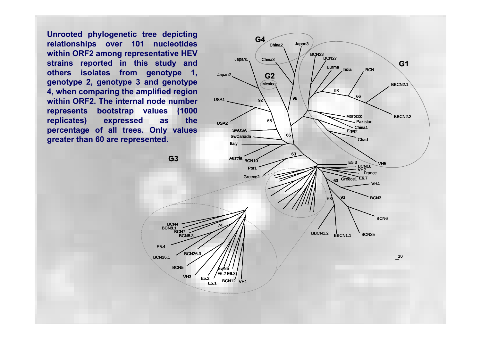**Unrooted phylogenetic tree depicting relationships over 101 nucleotides within ORF2 among representative HEV strains reported in this study and others isolates from genotype 1, genotype 2, genotype 3 and genotype 4, when comparing the amplified region within ORF2. The internal node number represents bootstrap values (1000 replicates) expressed as the percentage of all trees. Only values greater than 60 are represented.**

E5.4

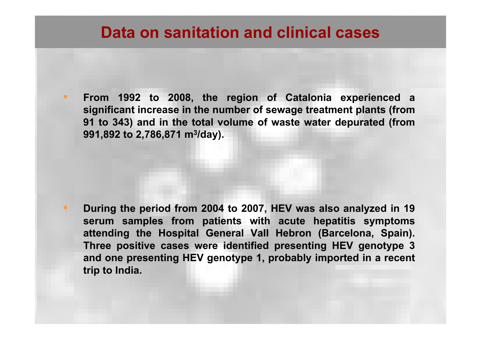### **Data on sanitation and clinical cases**

• **From 1992 to 2008, the region of Catalonia experienced a significant increase in the number of sewage treatment plants (from 91 to 343) and in the total volume of waste water depurated (from 991,892 to 2,786,871 m 3/day).**

• **During the period from 2004 to 2007, HEV was also analyzed in 19 serum samples from patients with acute hepatitis symptoms attending the Hospital General Vall Hebron (Barcelona, Spain). Three positive cases were identified presenting HEV genotype 3 and one presenting HEV genotype 1, probably imported in a recent trip to India.**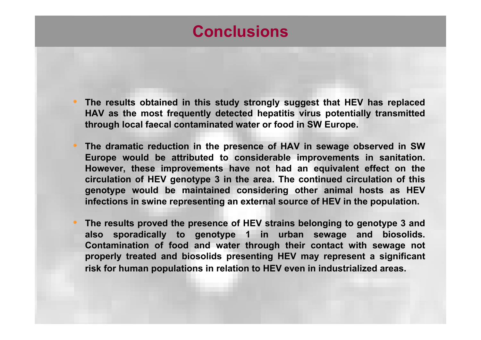# **Conclusions**

- **The results obtained in this study strongly suggest that HEV has replaced HAV as the most frequently detected hepatitis virus potentially transmitted through local faecal contaminated water or food in SW Europe.**
- **The dramatic reduction in the presence of HAV in sewage observed in SW Europe would be attributed to considerable improvements in sanitation. However, these improvements have not had an equivalent effect on the circulation of HEV genotype 3 in the area. The continued circulation of this genotype would be maintained considering other animal hosts as HEV infections in swine representing an external source of HEV in the population.**
- **The results proved the presence of HEV strains belonging to genotype 3 and also sporadically to genotype 1 in urban sewage and biosolids. Contamination of food and water through their contact with sewage not properly treated and biosolids presenting HEV may represent a significant risk for human populations in relation to HEV even in industrialized areas.**